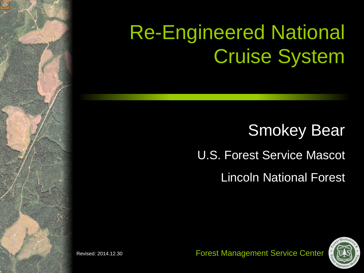#### Re-Engineered National Cruise System

#### **Smokey Bear** Lincoln National Forest U.S. Forest Service Mascot

Forest Management Service Center



Revised: 2014.12.30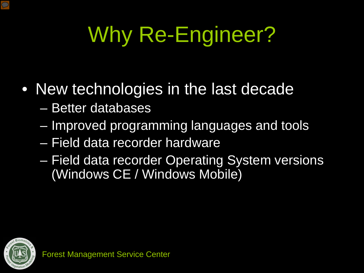# Why Re-Engineer?

#### • New technologies in the last decade

- Better databases
- Improved programming languages and tools
- Field data recorder hardware
- Field data recorder Operating System versions (Windows CE / Windows Mobile)

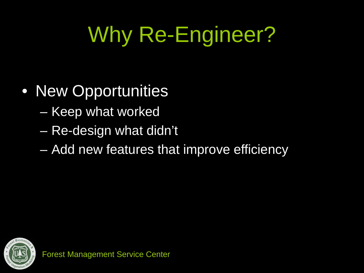# Why Re-Engineer?

- New Opportunities
	- Keep what worked
	- Re-design what didn't
	- Add new features that improve efficiency

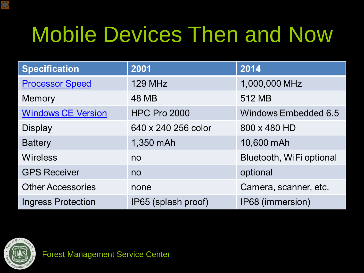#### Mobile Devices Then and Now

| <b>Specification</b>      | 2001                | 2014                     |
|---------------------------|---------------------|--------------------------|
| <b>Processor Speed</b>    | <b>129 MHz</b>      | 1,000,000 MHz            |
| Memory                    | 48 MB               | 512 MB                   |
| <b>Windows CE Version</b> | <b>HPC Pro 2000</b> | Windows Embedded 6.5     |
| <b>Display</b>            | 640 x 240 256 color | 800 x 480 HD             |
| <b>Battery</b>            | 1,350 mAh           | 10,600 mAh               |
| <b>Wireless</b>           | no                  | Bluetooth, WiFi optional |
| <b>GPS Receiver</b>       | no                  | optional                 |
| <b>Other Accessories</b>  | none                | Camera, scanner, etc.    |
| <b>Ingress Protection</b> | IP65 (splash proof) | IP68 (immersion)         |



 $\overline{\mathcal{D}}$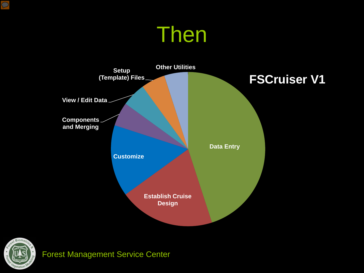#### Then





 $\overline{C}$ 

Forest Management Service Center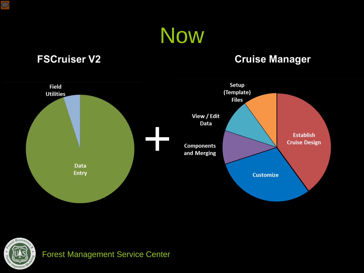

#### **FSCruiser V2**

#### **Cruise Manager**





 $\overline{C}$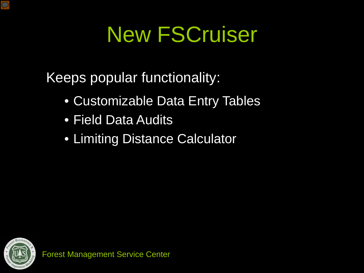Keeps popular functionality:

- Customizable Data Entry Tables
- Field Data Audits
- Limiting Distance Calculator



 $\overline{\mathcal{D}}$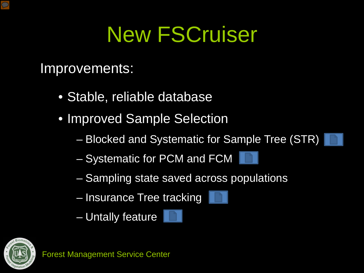Improvements:

- Stable, reliable database
- Improved Sample Selection
	- Blocked and Systematic for Sample Tree (STR)
	- Systematic for PCM and FCM
	- Sampling state saved across populations
	- Insurance Tree tracking
	- Untally feature





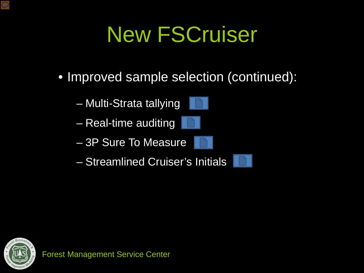- Improved sample selection (continued):
	- Multi-Strata tallying
	- Real-time auditing
	- 3P Sure To Measure
	- Streamlined Cruiser's Initials



 $\overline{\mathcal{D}}$ 



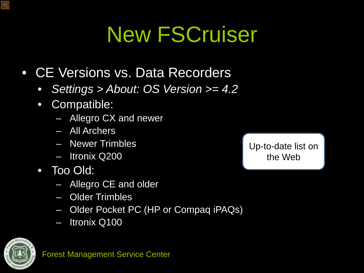- CE Versions vs. Data Recorders
	- *Settings > About: OS Version >= 4.2*
	- Compatible:
		- Allegro CX and newer
		- All Archers
		- Newer Trimbles
		- Itronix Q200
	- Too Old:
		- Allegro CE and older
		- Older Trimbles
		- Older Pocket PC (HP or Compaq iPAQs)
		- Itronix Q100



 $\bigcirc$ 

[Up-to-date list on](http://fmsc-projects.herokuapp.com/documents/35)  the Web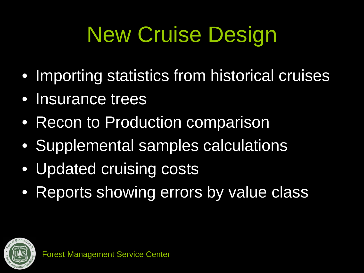# New Cruise Design

- Importing statistics from historical cruises
- Insurance trees
- Recon to Production comparison
- Supplemental samples calculations
- Updated cruising costs
- Reports showing errors by value class

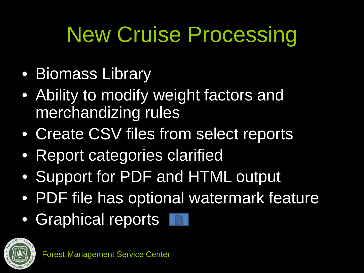## New Cruise Processing

- Biomass Library
- Ability to modify weight factors and merchandizing rules
- Create CSV files from select reports
- Report categories clarified
- Support for PDF and HTML output
- PDF file has optional watermark feature
- Graphical reports



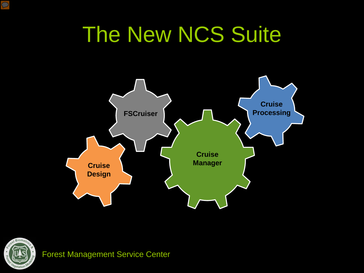#### The New NCS Suite





Forest Management Service Center